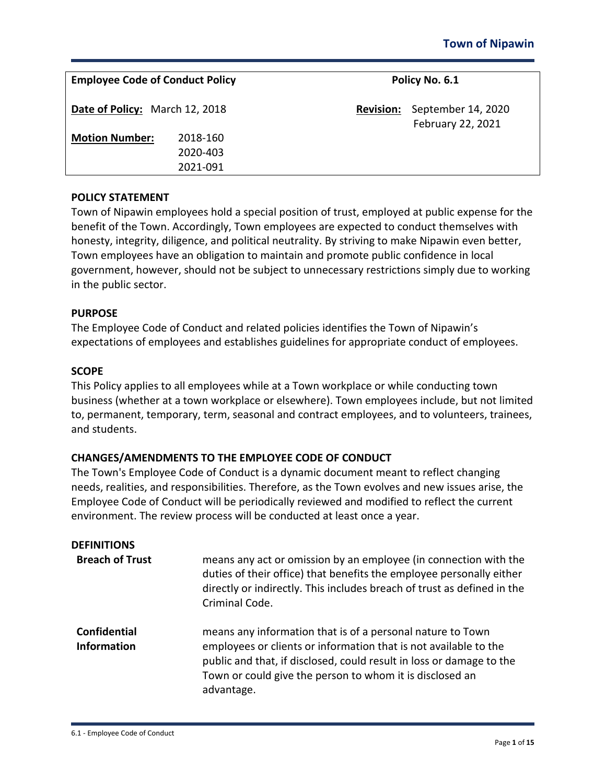| <b>Employee Code of Conduct Policy</b> |                                  |                  | Policy No. 6.1                          |  |
|----------------------------------------|----------------------------------|------------------|-----------------------------------------|--|
| Date of Policy: March 12, 2018         |                                  | <b>Revision:</b> | September 14, 2020<br>February 22, 2021 |  |
| <b>Motion Number:</b>                  | 2018-160<br>2020-403<br>2021-091 |                  |                                         |  |

### **POLICY STATEMENT**

Town of Nipawin employees hold a special position of trust, employed at public expense for the benefit of the Town. Accordingly, Town employees are expected to conduct themselves with honesty, integrity, diligence, and political neutrality. By striving to make Nipawin even better, Town employees have an obligation to maintain and promote public confidence in local government, however, should not be subject to unnecessary restrictions simply due to working in the public sector.

#### **PURPOSE**

The Employee Code of Conduct and related policies identifies the Town of Nipawin's expectations of employees and establishes guidelines for appropriate conduct of employees.

#### **SCOPE**

This Policy applies to all employees while at a Town workplace or while conducting town business (whether at a town workplace or elsewhere). Town employees include, but not limited to, permanent, temporary, term, seasonal and contract employees, and to volunteers, trainees, and students.

#### **CHANGES/AMENDMENTS TO THE EMPLOYEE CODE OF CONDUCT**

The Town's Employee Code of Conduct is a dynamic document meant to reflect changing needs, realities, and responsibilities. Therefore, as the Town evolves and new issues arise, the Employee Code of Conduct will be periodically reviewed and modified to reflect the current environment. The review process will be conducted at least once a year.

| <b>DEFINITIONS</b>                        |                                                                                                                                                                                                                                                                                  |
|-------------------------------------------|----------------------------------------------------------------------------------------------------------------------------------------------------------------------------------------------------------------------------------------------------------------------------------|
| <b>Breach of Trust</b>                    | means any act or omission by an employee (in connection with the<br>duties of their office) that benefits the employee personally either<br>directly or indirectly. This includes breach of trust as defined in the<br>Criminal Code.                                            |
| <b>Confidential</b><br><b>Information</b> | means any information that is of a personal nature to Town<br>employees or clients or information that is not available to the<br>public and that, if disclosed, could result in loss or damage to the<br>Town or could give the person to whom it is disclosed an<br>advantage. |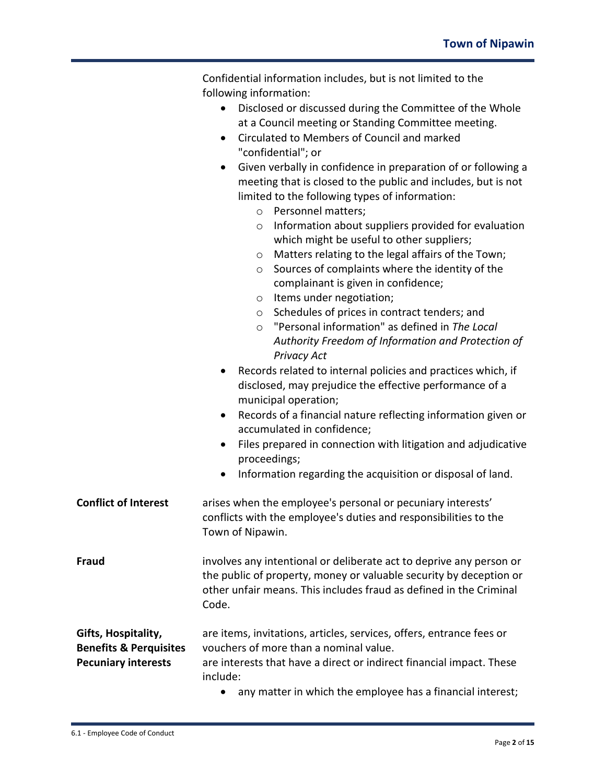|                                   | Confidential information includes, but is not limited to the                                                                 |  |  |  |
|-----------------------------------|------------------------------------------------------------------------------------------------------------------------------|--|--|--|
|                                   | following information:                                                                                                       |  |  |  |
|                                   | Disclosed or discussed during the Committee of the Whole<br>$\bullet$<br>at a Council meeting or Standing Committee meeting. |  |  |  |
|                                   |                                                                                                                              |  |  |  |
|                                   | Circulated to Members of Council and marked<br>$\bullet$                                                                     |  |  |  |
|                                   | "confidential"; or                                                                                                           |  |  |  |
|                                   | Given verbally in confidence in preparation of or following a<br>$\bullet$                                                   |  |  |  |
|                                   | meeting that is closed to the public and includes, but is not                                                                |  |  |  |
|                                   | limited to the following types of information:                                                                               |  |  |  |
|                                   | Personnel matters;<br>$\circ$                                                                                                |  |  |  |
|                                   | Information about suppliers provided for evaluation<br>$\circ$                                                               |  |  |  |
|                                   | which might be useful to other suppliers;                                                                                    |  |  |  |
|                                   | Matters relating to the legal affairs of the Town;<br>$\circ$                                                                |  |  |  |
|                                   | Sources of complaints where the identity of the<br>$\circ$<br>complainant is given in confidence;                            |  |  |  |
|                                   | Items under negotiation;<br>$\circ$                                                                                          |  |  |  |
|                                   | Schedules of prices in contract tenders; and<br>$\circ$                                                                      |  |  |  |
|                                   | "Personal information" as defined in The Local<br>$\circ$                                                                    |  |  |  |
|                                   | Authority Freedom of Information and Protection of                                                                           |  |  |  |
|                                   | <b>Privacy Act</b>                                                                                                           |  |  |  |
|                                   | Records related to internal policies and practices which, if                                                                 |  |  |  |
|                                   | disclosed, may prejudice the effective performance of a                                                                      |  |  |  |
|                                   | municipal operation;                                                                                                         |  |  |  |
|                                   | Records of a financial nature reflecting information given or<br>$\bullet$                                                   |  |  |  |
|                                   | accumulated in confidence;                                                                                                   |  |  |  |
|                                   | Files prepared in connection with litigation and adjudicative<br>$\bullet$<br>proceedings;                                   |  |  |  |
|                                   | Information regarding the acquisition or disposal of land.<br>$\bullet$                                                      |  |  |  |
| <b>Conflict of Interest</b>       | arises when the employee's personal or pecuniary interests'                                                                  |  |  |  |
|                                   | conflicts with the employee's duties and responsibilities to the                                                             |  |  |  |
|                                   | Town of Nipawin.                                                                                                             |  |  |  |
|                                   |                                                                                                                              |  |  |  |
| Fraud                             | involves any intentional or deliberate act to deprive any person or                                                          |  |  |  |
|                                   | the public of property, money or valuable security by deception or                                                           |  |  |  |
|                                   | other unfair means. This includes fraud as defined in the Criminal                                                           |  |  |  |
|                                   | Code.                                                                                                                        |  |  |  |
| Gifts, Hospitality,               | are items, invitations, articles, services, offers, entrance fees or                                                         |  |  |  |
| <b>Benefits &amp; Perquisites</b> | vouchers of more than a nominal value.                                                                                       |  |  |  |
| <b>Pecuniary interests</b>        | are interests that have a direct or indirect financial impact. These                                                         |  |  |  |
|                                   | include:                                                                                                                     |  |  |  |
|                                   | any matter in which the employee has a financial interest;                                                                   |  |  |  |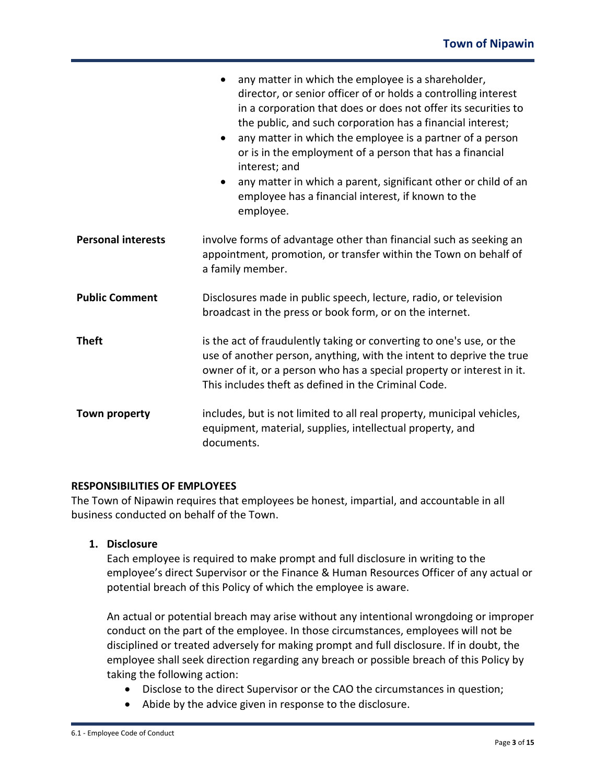|                           | any matter in which the employee is a shareholder,<br>$\bullet$<br>director, or senior officer of or holds a controlling interest<br>in a corporation that does or does not offer its securities to<br>the public, and such corporation has a financial interest;<br>any matter in which the employee is a partner of a person<br>or is in the employment of a person that has a financial<br>interest; and<br>any matter in which a parent, significant other or child of an<br>$\bullet$<br>employee has a financial interest, if known to the<br>employee. |  |
|---------------------------|---------------------------------------------------------------------------------------------------------------------------------------------------------------------------------------------------------------------------------------------------------------------------------------------------------------------------------------------------------------------------------------------------------------------------------------------------------------------------------------------------------------------------------------------------------------|--|
| <b>Personal interests</b> | involve forms of advantage other than financial such as seeking an<br>appointment, promotion, or transfer within the Town on behalf of<br>a family member.                                                                                                                                                                                                                                                                                                                                                                                                    |  |
| <b>Public Comment</b>     | Disclosures made in public speech, lecture, radio, or television<br>broadcast in the press or book form, or on the internet.                                                                                                                                                                                                                                                                                                                                                                                                                                  |  |
| <b>Theft</b>              | is the act of fraudulently taking or converting to one's use, or the<br>use of another person, anything, with the intent to deprive the true<br>owner of it, or a person who has a special property or interest in it.<br>This includes theft as defined in the Criminal Code.                                                                                                                                                                                                                                                                                |  |
| Town property             | includes, but is not limited to all real property, municipal vehicles,<br>equipment, material, supplies, intellectual property, and<br>documents.                                                                                                                                                                                                                                                                                                                                                                                                             |  |

### **RESPONSIBILITIES OF EMPLOYEES**

The Town of Nipawin requires that employees be honest, impartial, and accountable in all business conducted on behalf of the Town.

### **1. Disclosure**

Each employee is required to make prompt and full disclosure in writing to the employee's direct Supervisor or the Finance & Human Resources Officer of any actual or potential breach of this Policy of which the employee is aware.

An actual or potential breach may arise without any intentional wrongdoing or improper conduct on the part of the employee. In those circumstances, employees will not be disciplined or treated adversely for making prompt and full disclosure. If in doubt, the employee shall seek direction regarding any breach or possible breach of this Policy by taking the following action:

- Disclose to the direct Supervisor or the CAO the circumstances in question;
- Abide by the advice given in response to the disclosure.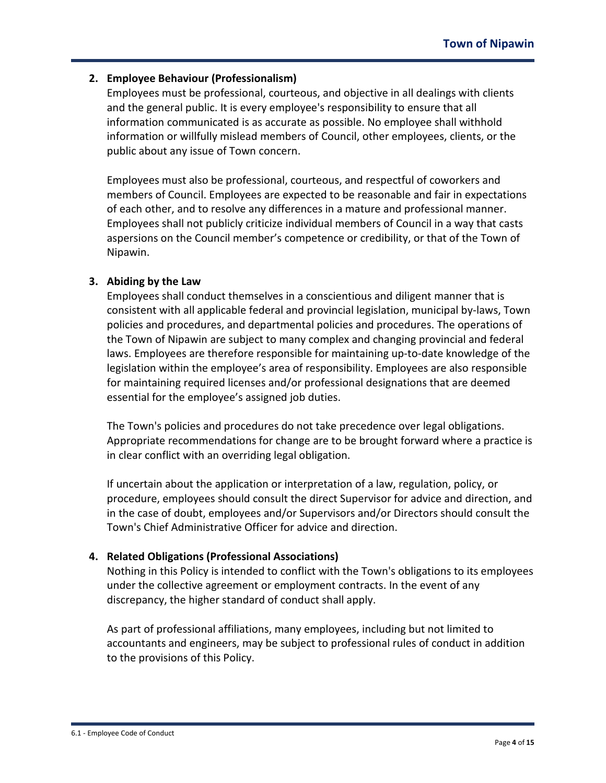## **2. Employee Behaviour (Professionalism)**

Employees must be professional, courteous, and objective in all dealings with clients and the general public. It is every employee's responsibility to ensure that all information communicated is as accurate as possible. No employee shall withhold information or willfully mislead members of Council, other employees, clients, or the public about any issue of Town concern.

Employees must also be professional, courteous, and respectful of coworkers and members of Council. Employees are expected to be reasonable and fair in expectations of each other, and to resolve any differences in a mature and professional manner. Employees shall not publicly criticize individual members of Council in a way that casts aspersions on the Council member's competence or credibility, or that of the Town of Nipawin.

### **3. Abiding by the Law**

Employees shall conduct themselves in a conscientious and diligent manner that is consistent with all applicable federal and provincial legislation, municipal by-laws, Town policies and procedures, and departmental policies and procedures. The operations of the Town of Nipawin are subject to many complex and changing provincial and federal laws. Employees are therefore responsible for maintaining up-to-date knowledge of the legislation within the employee's area of responsibility. Employees are also responsible for maintaining required licenses and/or professional designations that are deemed essential for the employee's assigned job duties.

The Town's policies and procedures do not take precedence over legal obligations. Appropriate recommendations for change are to be brought forward where a practice is in clear conflict with an overriding legal obligation.

If uncertain about the application or interpretation of a law, regulation, policy, or procedure, employees should consult the direct Supervisor for advice and direction, and in the case of doubt, employees and/or Supervisors and/or Directors should consult the Town's Chief Administrative Officer for advice and direction.

# **4. Related Obligations (Professional Associations)**

Nothing in this Policy is intended to conflict with the Town's obligations to its employees under the collective agreement or employment contracts. In the event of any discrepancy, the higher standard of conduct shall apply.

As part of professional affiliations, many employees, including but not limited to accountants and engineers, may be subject to professional rules of conduct in addition to the provisions of this Policy.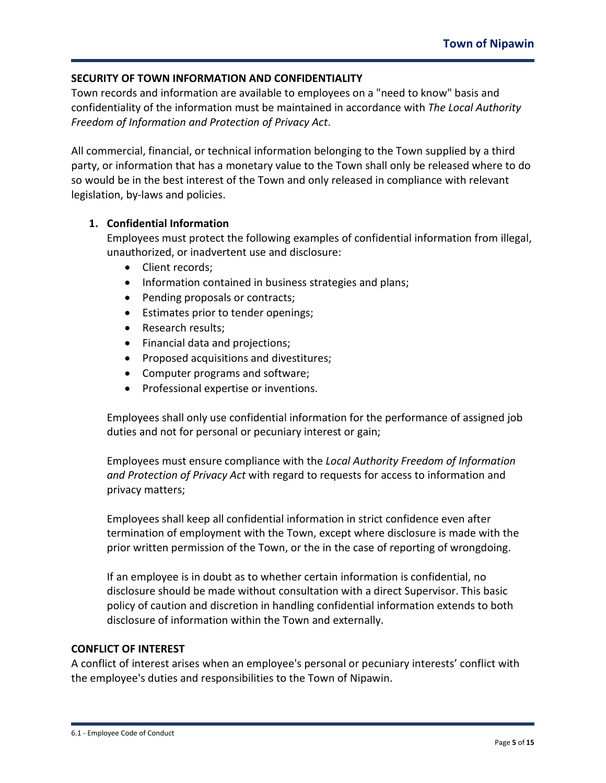## **SECURITY OF TOWN INFORMATION AND CONFIDENTIALITY**

Town records and information are available to employees on a "need to know" basis and confidentiality of the information must be maintained in accordance with *The Local Authority Freedom of Information and Protection of Privacy Act*.

All commercial, financial, or technical information belonging to the Town supplied by a third party, or information that has a monetary value to the Town shall only be released where to do so would be in the best interest of the Town and only released in compliance with relevant legislation, by-laws and policies.

### **1. Confidential Information**

Employees must protect the following examples of confidential information from illegal, unauthorized, or inadvertent use and disclosure:

- Client records;
- Information contained in business strategies and plans;
- Pending proposals or contracts;
- Estimates prior to tender openings;
- Research results;
- Financial data and projections;
- Proposed acquisitions and divestitures;
- Computer programs and software;
- Professional expertise or inventions.

Employees shall only use confidential information for the performance of assigned job duties and not for personal or pecuniary interest or gain;

Employees must ensure compliance with the *Local Authority Freedom of Information and Protection of Privacy Act* with regard to requests for access to information and privacy matters;

Employees shall keep all confidential information in strict confidence even after termination of employment with the Town, except where disclosure is made with the prior written permission of the Town, or the in the case of reporting of wrongdoing.

If an employee is in doubt as to whether certain information is confidential, no disclosure should be made without consultation with a direct Supervisor. This basic policy of caution and discretion in handling confidential information extends to both disclosure of information within the Town and externally.

### **CONFLICT OF INTEREST**

A conflict of interest arises when an employee's personal or pecuniary interests' conflict with the employee's duties and responsibilities to the Town of Nipawin.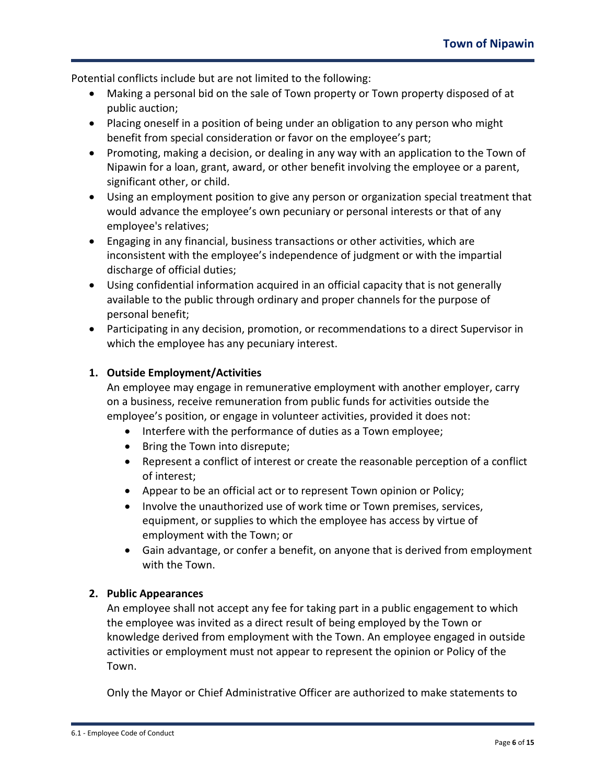Potential conflicts include but are not limited to the following:

- Making a personal bid on the sale of Town property or Town property disposed of at public auction;
- Placing oneself in a position of being under an obligation to any person who might benefit from special consideration or favor on the employee's part;
- Promoting, making a decision, or dealing in any way with an application to the Town of Nipawin for a loan, grant, award, or other benefit involving the employee or a parent, significant other, or child.
- Using an employment position to give any person or organization special treatment that would advance the employee's own pecuniary or personal interests or that of any employee's relatives;
- Engaging in any financial, business transactions or other activities, which are inconsistent with the employee's independence of judgment or with the impartial discharge of official duties;
- Using confidential information acquired in an official capacity that is not generally available to the public through ordinary and proper channels for the purpose of personal benefit;
- Participating in any decision, promotion, or recommendations to a direct Supervisor in which the employee has any pecuniary interest.

# **1. Outside Employment/Activities**

An employee may engage in remunerative employment with another employer, carry on a business, receive remuneration from public funds for activities outside the employee's position, or engage in volunteer activities, provided it does not:

- Interfere with the performance of duties as a Town employee;
- Bring the Town into disrepute;
- Represent a conflict of interest or create the reasonable perception of a conflict of interest;
- Appear to be an official act or to represent Town opinion or Policy;
- Involve the unauthorized use of work time or Town premises, services, equipment, or supplies to which the employee has access by virtue of employment with the Town; or
- Gain advantage, or confer a benefit, on anyone that is derived from employment with the Town.

### **2. Public Appearances**

An employee shall not accept any fee for taking part in a public engagement to which the employee was invited as a direct result of being employed by the Town or knowledge derived from employment with the Town. An employee engaged in outside activities or employment must not appear to represent the opinion or Policy of the Town.

Only the Mayor or Chief Administrative Officer are authorized to make statements to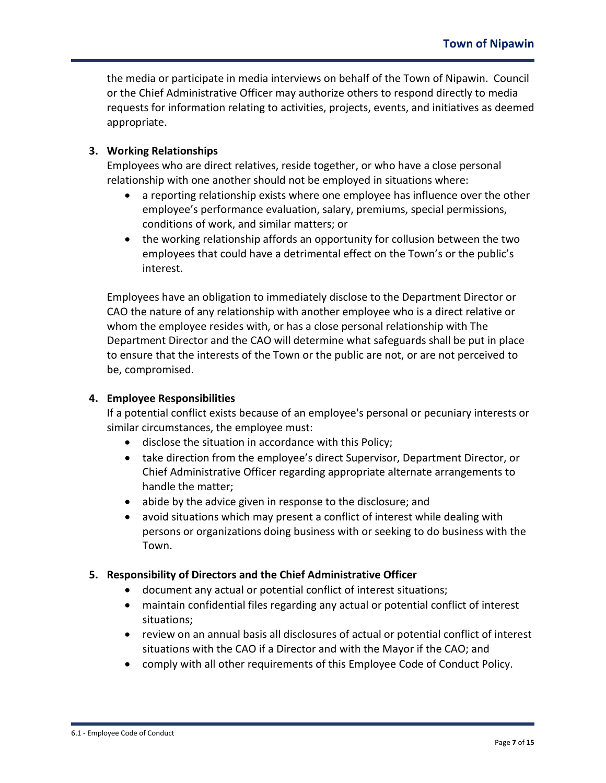the media or participate in media interviews on behalf of the Town of Nipawin. Council or the Chief Administrative Officer may authorize others to respond directly to media requests for information relating to activities, projects, events, and initiatives as deemed appropriate.

### **3. Working Relationships**

Employees who are direct relatives, reside together, or who have a close personal relationship with one another should not be employed in situations where:

- a reporting relationship exists where one employee has influence over the other employee's performance evaluation, salary, premiums, special permissions, conditions of work, and similar matters; or
- the working relationship affords an opportunity for collusion between the two employees that could have a detrimental effect on the Town's or the public's interest.

Employees have an obligation to immediately disclose to the Department Director or CAO the nature of any relationship with another employee who is a direct relative or whom the employee resides with, or has a close personal relationship with The Department Director and the CAO will determine what safeguards shall be put in place to ensure that the interests of the Town or the public are not, or are not perceived to be, compromised.

### **4. Employee Responsibilities**

If a potential conflict exists because of an employee's personal or pecuniary interests or similar circumstances, the employee must:

- disclose the situation in accordance with this Policy;
- take direction from the employee's direct Supervisor, Department Director, or Chief Administrative Officer regarding appropriate alternate arrangements to handle the matter;
- abide by the advice given in response to the disclosure; and
- avoid situations which may present a conflict of interest while dealing with persons or organizations doing business with or seeking to do business with the Town.

### **5. Responsibility of Directors and the Chief Administrative Officer**

- document any actual or potential conflict of interest situations;
- maintain confidential files regarding any actual or potential conflict of interest situations;
- review on an annual basis all disclosures of actual or potential conflict of interest situations with the CAO if a Director and with the Mayor if the CAO; and
- comply with all other requirements of this Employee Code of Conduct Policy.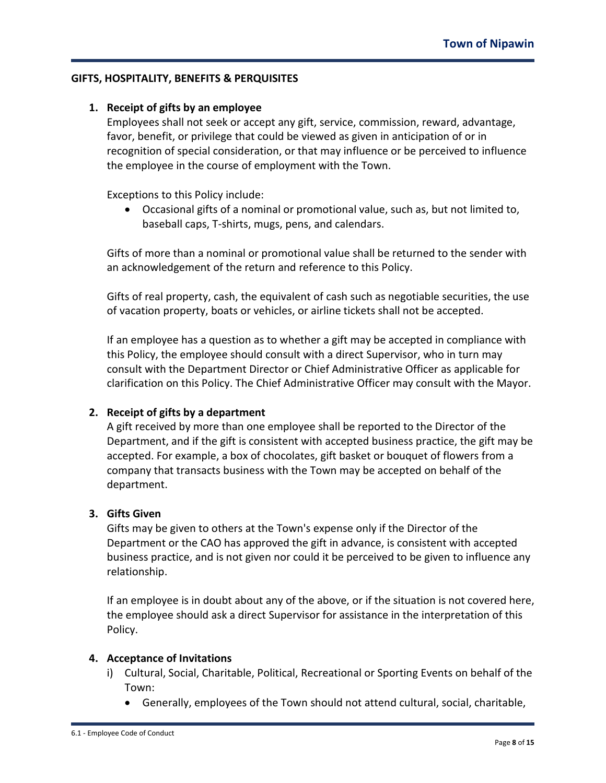### **GIFTS, HOSPITALITY, BENEFITS & PERQUISITES**

### **1. Receipt of gifts by an employee**

Employees shall not seek or accept any gift, service, commission, reward, advantage, favor, benefit, or privilege that could be viewed as given in anticipation of or in recognition of special consideration, or that may influence or be perceived to influence the employee in the course of employment with the Town.

Exceptions to this Policy include:

• Occasional gifts of a nominal or promotional value, such as, but not limited to, baseball caps, T-shirts, mugs, pens, and calendars.

Gifts of more than a nominal or promotional value shall be returned to the sender with an acknowledgement of the return and reference to this Policy.

Gifts of real property, cash, the equivalent of cash such as negotiable securities, the use of vacation property, boats or vehicles, or airline tickets shall not be accepted.

If an employee has a question as to whether a gift may be accepted in compliance with this Policy, the employee should consult with a direct Supervisor, who in turn may consult with the Department Director or Chief Administrative Officer as applicable for clarification on this Policy. The Chief Administrative Officer may consult with the Mayor.

### **2. Receipt of gifts by a department**

A gift received by more than one employee shall be reported to the Director of the Department, and if the gift is consistent with accepted business practice, the gift may be accepted. For example, a box of chocolates, gift basket or bouquet of flowers from a company that transacts business with the Town may be accepted on behalf of the department.

#### **3. Gifts Given**

Gifts may be given to others at the Town's expense only if the Director of the Department or the CAO has approved the gift in advance, is consistent with accepted business practice, and is not given nor could it be perceived to be given to influence any relationship.

If an employee is in doubt about any of the above, or if the situation is not covered here, the employee should ask a direct Supervisor for assistance in the interpretation of this Policy.

#### **4. Acceptance of Invitations**

- i) Cultural, Social, Charitable, Political, Recreational or Sporting Events on behalf of the Town:
	- Generally, employees of the Town should not attend cultural, social, charitable,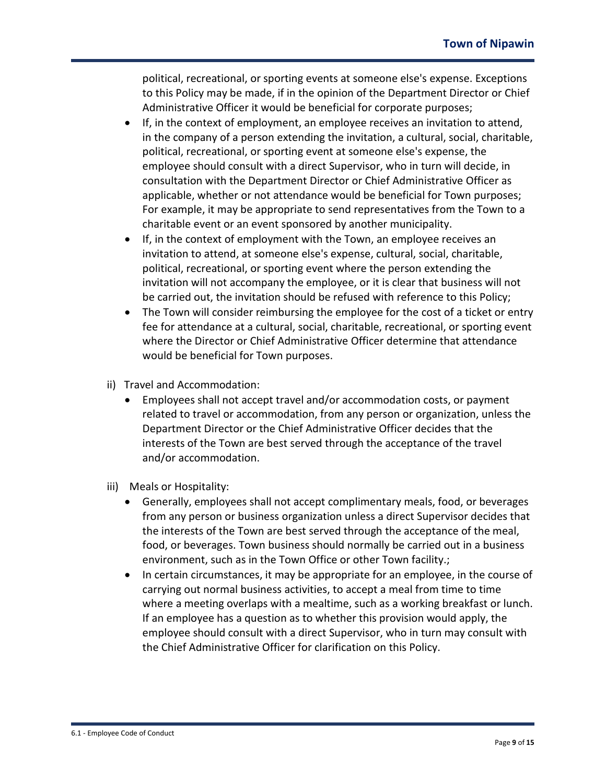political, recreational, or sporting events at someone else's expense. Exceptions to this Policy may be made, if in the opinion of the Department Director or Chief Administrative Officer it would be beneficial for corporate purposes;

- If, in the context of employment, an employee receives an invitation to attend, in the company of a person extending the invitation, a cultural, social, charitable, political, recreational, or sporting event at someone else's expense, the employee should consult with a direct Supervisor, who in turn will decide, in consultation with the Department Director or Chief Administrative Officer as applicable, whether or not attendance would be beneficial for Town purposes; For example, it may be appropriate to send representatives from the Town to a charitable event or an event sponsored by another municipality.
- If, in the context of employment with the Town, an employee receives an invitation to attend, at someone else's expense, cultural, social, charitable, political, recreational, or sporting event where the person extending the invitation will not accompany the employee, or it is clear that business will not be carried out, the invitation should be refused with reference to this Policy;
- The Town will consider reimbursing the employee for the cost of a ticket or entry fee for attendance at a cultural, social, charitable, recreational, or sporting event where the Director or Chief Administrative Officer determine that attendance would be beneficial for Town purposes.
- ii) Travel and Accommodation:
	- Employees shall not accept travel and/or accommodation costs, or payment related to travel or accommodation, from any person or organization, unless the Department Director or the Chief Administrative Officer decides that the interests of the Town are best served through the acceptance of the travel and/or accommodation.
- iii) Meals or Hospitality:
	- Generally, employees shall not accept complimentary meals, food, or beverages from any person or business organization unless a direct Supervisor decides that the interests of the Town are best served through the acceptance of the meal, food, or beverages. Town business should normally be carried out in a business environment, such as in the Town Office or other Town facility.;
	- In certain circumstances, it may be appropriate for an employee, in the course of carrying out normal business activities, to accept a meal from time to time where a meeting overlaps with a mealtime, such as a working breakfast or lunch. If an employee has a question as to whether this provision would apply, the employee should consult with a direct Supervisor, who in turn may consult with the Chief Administrative Officer for clarification on this Policy.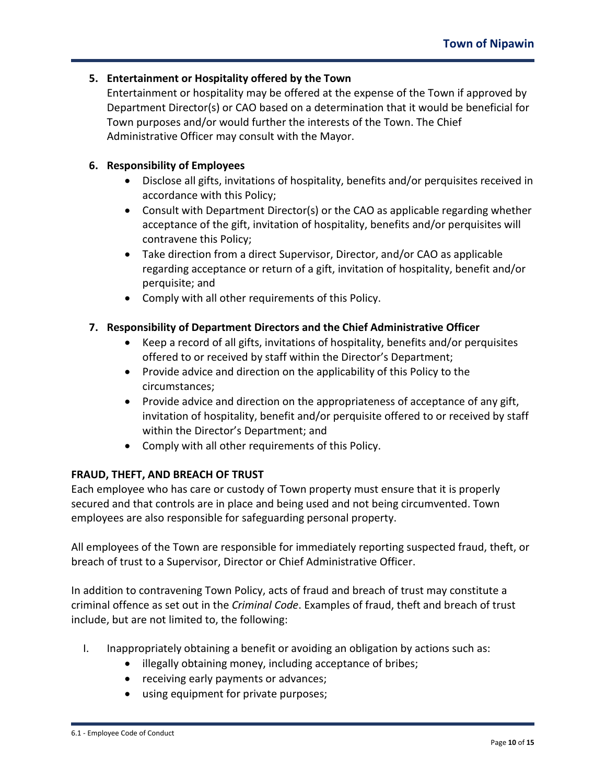## **5. Entertainment or Hospitality offered by the Town**

Entertainment or hospitality may be offered at the expense of the Town if approved by Department Director(s) or CAO based on a determination that it would be beneficial for Town purposes and/or would further the interests of the Town. The Chief Administrative Officer may consult with the Mayor.

### **6. Responsibility of Employees**

- Disclose all gifts, invitations of hospitality, benefits and/or perquisites received in accordance with this Policy;
- Consult with Department Director(s) or the CAO as applicable regarding whether acceptance of the gift, invitation of hospitality, benefits and/or perquisites will contravene this Policy;
- Take direction from a direct Supervisor, Director, and/or CAO as applicable regarding acceptance or return of a gift, invitation of hospitality, benefit and/or perquisite; and
- Comply with all other requirements of this Policy.

# **7. Responsibility of Department Directors and the Chief Administrative Officer**

- Keep a record of all gifts, invitations of hospitality, benefits and/or perquisites offered to or received by staff within the Director's Department;
- Provide advice and direction on the applicability of this Policy to the circumstances;
- Provide advice and direction on the appropriateness of acceptance of any gift, invitation of hospitality, benefit and/or perquisite offered to or received by staff within the Director's Department; and
- Comply with all other requirements of this Policy.

# **FRAUD, THEFT, AND BREACH OF TRUST**

Each employee who has care or custody of Town property must ensure that it is properly secured and that controls are in place and being used and not being circumvented. Town employees are also responsible for safeguarding personal property.

All employees of the Town are responsible for immediately reporting suspected fraud, theft, or breach of trust to a Supervisor, Director or Chief Administrative Officer.

In addition to contravening Town Policy, acts of fraud and breach of trust may constitute a criminal offence as set out in the *Criminal Code*. Examples of fraud, theft and breach of trust include, but are not limited to, the following:

- I. Inappropriately obtaining a benefit or avoiding an obligation by actions such as:
	- illegally obtaining money, including acceptance of bribes;
	- receiving early payments or advances;
	- using equipment for private purposes;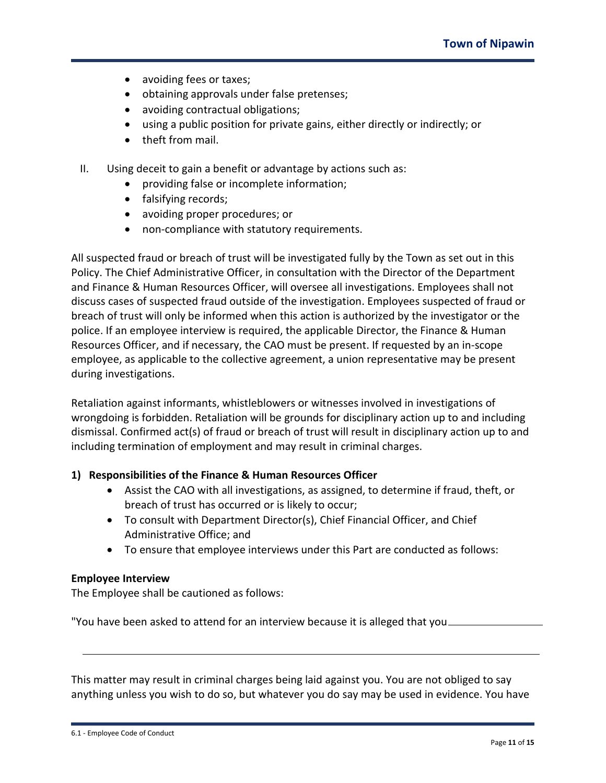- avoiding fees or taxes;
- obtaining approvals under false pretenses;
- avoiding contractual obligations;
- using a public position for private gains, either directly or indirectly; or
- theft from mail.
- II. Using deceit to gain a benefit or advantage by actions such as:
	- providing false or incomplete information;
	- falsifying records;
	- avoiding proper procedures; or
	- non-compliance with statutory requirements.

All suspected fraud or breach of trust will be investigated fully by the Town as set out in this Policy. The Chief Administrative Officer, in consultation with the Director of the Department and Finance & Human Resources Officer, will oversee all investigations. Employees shall not discuss cases of suspected fraud outside of the investigation. Employees suspected of fraud or breach of trust will only be informed when this action is authorized by the investigator or the police. If an employee interview is required, the applicable Director, the Finance & Human Resources Officer, and if necessary, the CAO must be present. If requested by an in-scope employee, as applicable to the collective agreement, a union representative may be present during investigations.

Retaliation against informants, whistleblowers or witnesses involved in investigations of wrongdoing is forbidden. Retaliation will be grounds for disciplinary action up to and including dismissal. Confirmed act(s) of fraud or breach of trust will result in disciplinary action up to and including termination of employment and may result in criminal charges.

### **1) Responsibilities of the Finance & Human Resources Officer**

- Assist the CAO with all investigations, as assigned, to determine if fraud, theft, or breach of trust has occurred or is likely to occur;
- To consult with Department Director(s), Chief Financial Officer, and Chief Administrative Office; and
- To ensure that employee interviews under this Part are conducted as follows:

### **Employee Interview**

The Employee shall be cautioned as follows:

"You have been asked to attend for an interview because it is alleged that you

This matter may result in criminal charges being laid against you. You are not obliged to say anything unless you wish to do so, but whatever you do say may be used in evidence. You have

6.1 - Employee Code of Conduct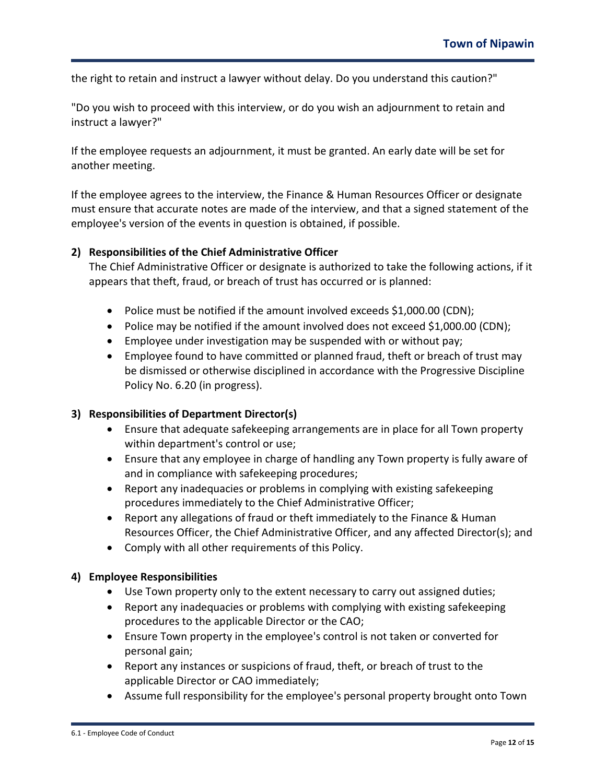the right to retain and instruct a lawyer without delay. Do you understand this caution?"

"Do you wish to proceed with this interview, or do you wish an adjournment to retain and instruct a lawyer?"

If the employee requests an adjournment, it must be granted. An early date will be set for another meeting.

If the employee agrees to the interview, the Finance & Human Resources Officer or designate must ensure that accurate notes are made of the interview, and that a signed statement of the employee's version of the events in question is obtained, if possible.

### **2) Responsibilities of the Chief Administrative Officer**

The Chief Administrative Officer or designate is authorized to take the following actions, if it appears that theft, fraud, or breach of trust has occurred or is planned:

- Police must be notified if the amount involved exceeds \$1,000.00 (CDN);
- Police may be notified if the amount involved does not exceed \$1,000.00 (CDN);
- Employee under investigation may be suspended with or without pay;
- Employee found to have committed or planned fraud, theft or breach of trust may be dismissed or otherwise disciplined in accordance with the Progressive Discipline Policy No. 6.20 (in progress).

### **3) Responsibilities of Department Director(s)**

- Ensure that adequate safekeeping arrangements are in place for all Town property within department's control or use;
- Ensure that any employee in charge of handling any Town property is fully aware of and in compliance with safekeeping procedures;
- Report any inadequacies or problems in complying with existing safekeeping procedures immediately to the Chief Administrative Officer;
- Report any allegations of fraud or theft immediately to the Finance & Human Resources Officer, the Chief Administrative Officer, and any affected Director(s); and
- Comply with all other requirements of this Policy.

### **4) Employee Responsibilities**

- Use Town property only to the extent necessary to carry out assigned duties;
- Report any inadequacies or problems with complying with existing safekeeping procedures to the applicable Director or the CAO;
- Ensure Town property in the employee's control is not taken or converted for personal gain;
- Report any instances or suspicions of fraud, theft, or breach of trust to the applicable Director or CAO immediately;
- Assume full responsibility for the employee's personal property brought onto Town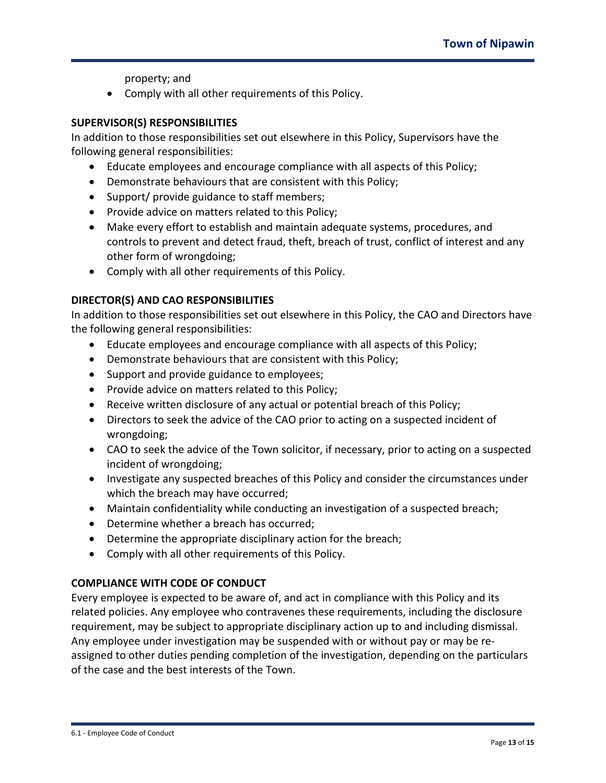property; and

• Comply with all other requirements of this Policy.

### **SUPERVISOR(S) RESPONSIBILITIES**

In addition to those responsibilities set out elsewhere in this Policy, Supervisors have the following general responsibilities:

- Educate employees and encourage compliance with all aspects of this Policy;
- Demonstrate behaviours that are consistent with this Policy;
- Support/ provide guidance to staff members;
- Provide advice on matters related to this Policy;
- Make every effort to establish and maintain adequate systems, procedures, and controls to prevent and detect fraud, theft, breach of trust, conflict of interest and any other form of wrongdoing;
- Comply with all other requirements of this Policy.

# **DIRECTOR(S) AND CAO RESPONSIBILITIES**

In addition to those responsibilities set out elsewhere in this Policy, the CAO and Directors have the following general responsibilities:

- Educate employees and encourage compliance with all aspects of this Policy;
- Demonstrate behaviours that are consistent with this Policy;
- Support and provide guidance to employees;
- Provide advice on matters related to this Policy;
- Receive written disclosure of any actual or potential breach of this Policy;
- Directors to seek the advice of the CAO prior to acting on a suspected incident of wrongdoing;
- CAO to seek the advice of the Town solicitor, if necessary, prior to acting on a suspected incident of wrongdoing;
- Investigate any suspected breaches of this Policy and consider the circumstances under which the breach may have occurred;
- Maintain confidentiality while conducting an investigation of a suspected breach;
- Determine whether a breach has occurred;
- Determine the appropriate disciplinary action for the breach;
- Comply with all other requirements of this Policy.

# **COMPLIANCE WITH CODE OF CONDUCT**

Every employee is expected to be aware of, and act in compliance with this Policy and its related policies. Any employee who contravenes these requirements, including the disclosure requirement, may be subject to appropriate disciplinary action up to and including dismissal. Any employee under investigation may be suspended with or without pay or may be reassigned to other duties pending completion of the investigation, depending on the particulars of the case and the best interests of the Town.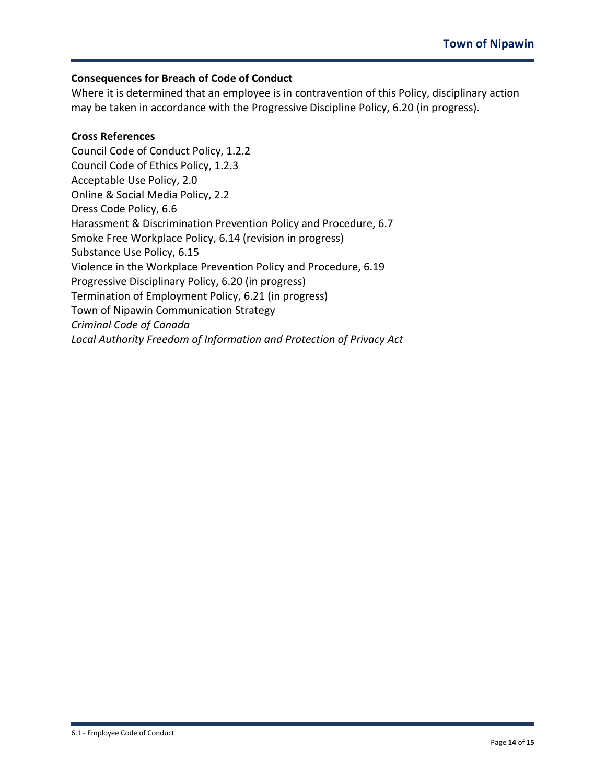## **Consequences for Breach of Code of Conduct**

Where it is determined that an employee is in contravention of this Policy, disciplinary action may be taken in accordance with the Progressive Discipline Policy, 6.20 (in progress).

# **Cross References**

Council Code of Conduct Policy, 1.2.2 Council Code of Ethics Policy, 1.2.3 Acceptable Use Policy, 2.0 Online & Social Media Policy, 2.2 Dress Code Policy, 6.6 Harassment & Discrimination Prevention Policy and Procedure, 6.7 Smoke Free Workplace Policy, 6.14 (revision in progress) Substance Use Policy, 6.15 Violence in the Workplace Prevention Policy and Procedure, 6.19 Progressive Disciplinary Policy, 6.20 (in progress) Termination of Employment Policy, 6.21 (in progress) Town of Nipawin Communication Strategy *Criminal Code of Canada Local Authority Freedom of Information and Protection of Privacy Act*